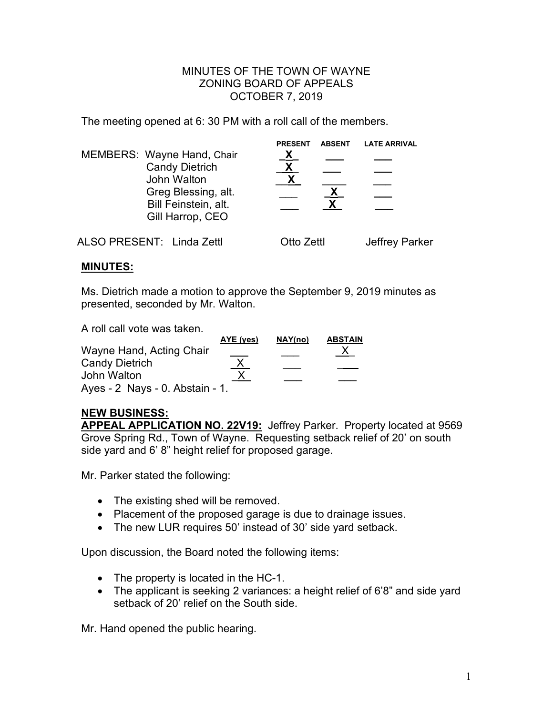## MINUTES OF THE TOWN OF WAYNE ZONING BOARD OF APPEALS OCTOBER 7, 2019

The meeting opened at 6: 30 PM with a roll call of the members.

| MEMBERS: Wayne Hand, Chair<br><b>Candy Dietrich</b><br>John Walton<br>Greg Blessing, alt.<br>Bill Feinstein, alt.<br>Gill Harrop, CEO | <b>PRESENT</b><br><u>х</u> | <b>ABSENT</b> | <b>LATE ARRIVAL</b> |
|---------------------------------------------------------------------------------------------------------------------------------------|----------------------------|---------------|---------------------|
| ALSO PRESENT: Linda Zettl                                                                                                             | Otto Zettl                 |               | Jeffrey Parker      |

## **MINUTES:**

Ms. Dietrich made a motion to approve the September 9, 2019 minutes as presented, seconded by Mr. Walton.

A roll call vote was taken.

|                                 | AYE (yes) | NAY(no) | <b>ABSTAIN</b> |
|---------------------------------|-----------|---------|----------------|
| Wayne Hand, Acting Chair        |           |         |                |
| <b>Candy Dietrich</b>           | <u>Х</u>  |         |                |
| John Walton                     |           |         |                |
| Ayes - 2 Nays - 0. Abstain - 1. |           |         |                |

## **NEW BUSINESS:**

**APPEAL APPLICATION NO. 22V19:** Jeffrey Parker. Property located at 9569 Grove Spring Rd., Town of Wayne. Requesting setback relief of 20' on south side yard and 6' 8" height relief for proposed garage.

Mr. Parker stated the following:

- The existing shed will be removed.
- Placement of the proposed garage is due to drainage issues.
- The new LUR requires 50' instead of 30' side yard setback.

Upon discussion, the Board noted the following items:

- The property is located in the HC-1.
- The applicant is seeking 2 variances: a height relief of 6'8" and side yard setback of 20' relief on the South side.

Mr. Hand opened the public hearing.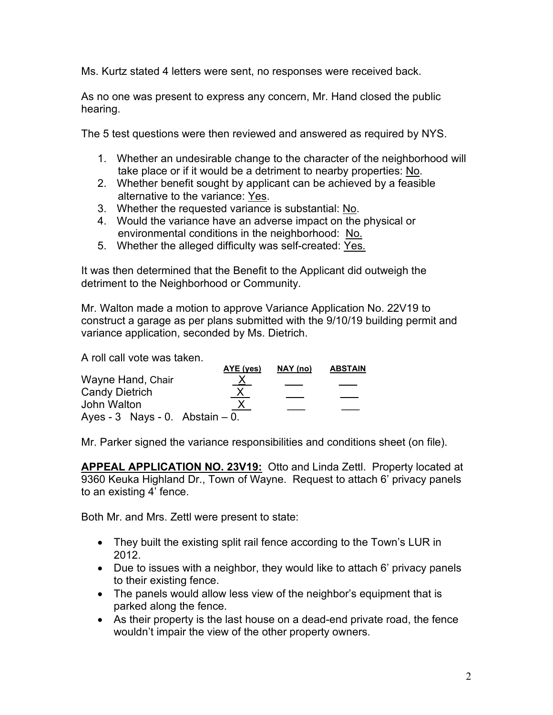Ms. Kurtz stated 4 letters were sent, no responses were received back.

As no one was present to express any concern, Mr. Hand closed the public hearing.

The 5 test questions were then reviewed and answered as required by NYS.

- 1. Whether an undesirable change to the character of the neighborhood will take place or if it would be a detriment to nearby properties: No.
- 2. Whether benefit sought by applicant can be achieved by a feasible alternative to the variance: Yes.
- 3. Whether the requested variance is substantial: No.
- 4. Would the variance have an adverse impact on the physical or environmental conditions in the neighborhood: No.
- 5. Whether the alleged difficulty was self-created: Yes.

It was then determined that the Benefit to the Applicant did outweigh the detriment to the Neighborhood or Community.

Mr. Walton made a motion to approve Variance Application No. 22V19 to construct a garage as per plans submitted with the 9/10/19 building permit and variance application, seconded by Ms. Dietrich.

A roll call vote was taken.

|                                     | AYE (yes) | NAY (no) | <b>ABSTAIN</b> |
|-------------------------------------|-----------|----------|----------------|
| Wayne Hand, Chair                   | <u>X</u>  |          |                |
| <b>Candy Dietrich</b>               | <u>X</u>  |          |                |
| John Walton                         |           |          |                |
| Ayes - $3$ Nays - 0. Abstain $-0$ . |           |          |                |

Mr. Parker signed the variance responsibilities and conditions sheet (on file).

**APPEAL APPLICATION NO. 23V19:** Otto and Linda Zettl. Property located at 9360 Keuka Highland Dr., Town of Wayne. Request to attach 6' privacy panels to an existing 4' fence.

Both Mr. and Mrs. Zettl were present to state:

- They built the existing split rail fence according to the Town's LUR in 2012.
- Due to issues with a neighbor, they would like to attach 6' privacy panels to their existing fence.
- The panels would allow less view of the neighbor's equipment that is parked along the fence.
- As their property is the last house on a dead-end private road, the fence wouldn't impair the view of the other property owners.